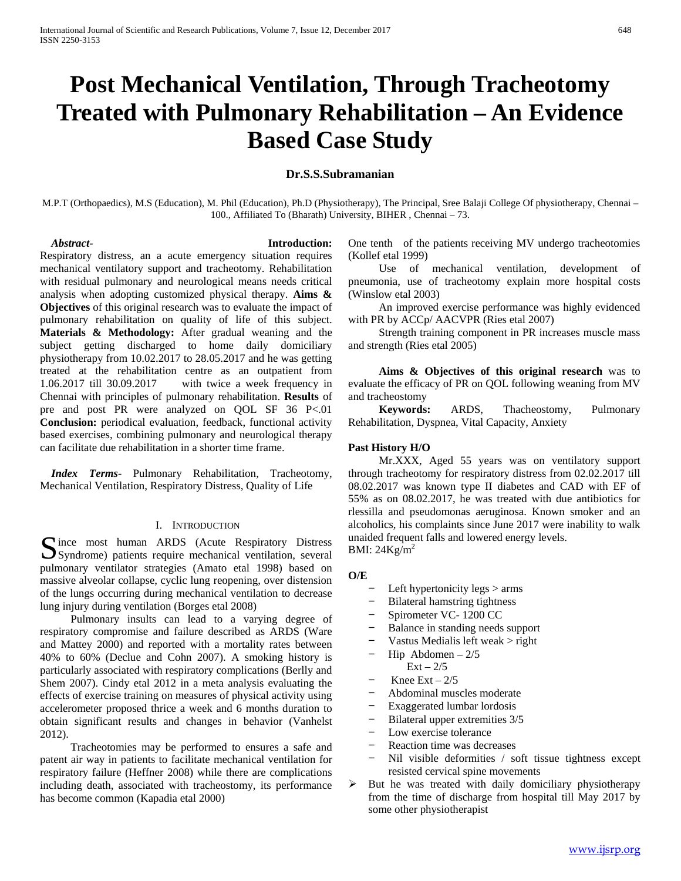# **Post Mechanical Ventilation, Through Tracheotomy Treated with Pulmonary Rehabilitation – An Evidence Based Case Study**

# **Dr.S.S.Subramanian**

M.P.T (Orthopaedics), M.S (Education), M. Phil (Education), Ph.D (Physiotherapy), The Principal, Sree Balaji College Of physiotherapy, Chennai – 100., Affiliated To (Bharath) University, BIHER , Chennai – 73.

# *Abstract***- Introduction:**

Respiratory distress, an a acute emergency situation requires mechanical ventilatory support and tracheotomy. Rehabilitation with residual pulmonary and neurological means needs critical analysis when adopting customized physical therapy. **Aims & Objectives** of this original research was to evaluate the impact of pulmonary rehabilitation on quality of life of this subject. **Materials & Methodology:** After gradual weaning and the subject getting discharged to home daily domiciliary physiotherapy from 10.02.2017 to 28.05.2017 and he was getting treated at the rehabilitation centre as an outpatient from 1.06.2017 till 30.09.2017 with twice a week frequency in Chennai with principles of pulmonary rehabilitation. **Results** of pre and post PR were analyzed on QOL SF 36 P<.01 **Conclusion:** periodical evaluation, feedback, functional activity based exercises, combining pulmonary and neurological therapy can facilitate due rehabilitation in a shorter time frame.

 *Index Terms*- Pulmonary Rehabilitation, Tracheotomy, Mechanical Ventilation, Respiratory Distress, Quality of Life

# I. INTRODUCTION

 $\bigcap$  ince most human ARDS (Acute Respiratory Distress Syndrome) patients require mechanical ventilation, several syndrome) patients require mechanical ventilation, several pulmonary ventilator strategies (Amato etal 1998) based on massive alveolar collapse, cyclic lung reopening, over distension of the lungs occurring during mechanical ventilation to decrease lung injury during ventilation (Borges etal 2008)

 Pulmonary insults can lead to a varying degree of respiratory compromise and failure described as ARDS (Ware and Mattey 2000) and reported with a mortality rates between 40% to 60% (Declue and Cohn 2007). A smoking history is particularly associated with respiratory complications (Berlly and Shem 2007). Cindy etal 2012 in a meta analysis evaluating the effects of exercise training on measures of physical activity using accelerometer proposed thrice a week and 6 months duration to obtain significant results and changes in behavior (Vanhelst 2012).

 Tracheotomies may be performed to ensures a safe and patent air way in patients to facilitate mechanical ventilation for respiratory failure (Heffner 2008) while there are complications including death, associated with tracheostomy, its performance has become common (Kapadia etal 2000)

One tenth of the patients receiving MV undergo tracheotomies (Kollef etal 1999)

 Use of mechanical ventilation, development of pneumonia, use of tracheotomy explain more hospital costs (Winslow etal 2003)

 An improved exercise performance was highly evidenced with PR by ACCp/ AACVPR (Ries etal 2007)

 Strength training component in PR increases muscle mass and strength (Ries etal 2005)

 **Aims & Objectives of this original research** was to evaluate the efficacy of PR on QOL following weaning from MV and tracheostomy

 **Keywords:** ARDS, Thacheostomy, Pulmonary Rehabilitation, Dyspnea, Vital Capacity, Anxiety

# **Past History H/O**

 Mr.XXX, Aged 55 years was on ventilatory support through tracheotomy for respiratory distress from 02.02.2017 till 08.02.2017 was known type II diabetes and CAD with EF of 55% as on 08.02.2017, he was treated with due antibiotics for rlessilla and pseudomonas aeruginosa. Known smoker and an alcoholics, his complaints since June 2017 were inability to walk unaided frequent falls and lowered energy levels. BMI:  $24$ Kg/m<sup>2</sup>

# **O/E**

- − Left hypertonicity legs > arms
- − Bilateral hamstring tightness
- − Spirometer VC- 1200 CC
- Balance in standing needs support
- − Vastus Medialis left weak > right
- Hip Abdomen  $2/5$
- $Ext 2/5$
- Knee Ext  $2/5$
- − Abdominal muscles moderate
- Exaggerated lumbar lordosis
- − Bilateral upper extremities 3/5
- − Low exercise tolerance
- − Reaction time was decreases
- Nil visible deformities / soft tissue tightness except resisted cervical spine movements
- $\triangleright$  But he was treated with daily domiciliary physiotherapy from the time of discharge from hospital till May 2017 by some other physiotherapist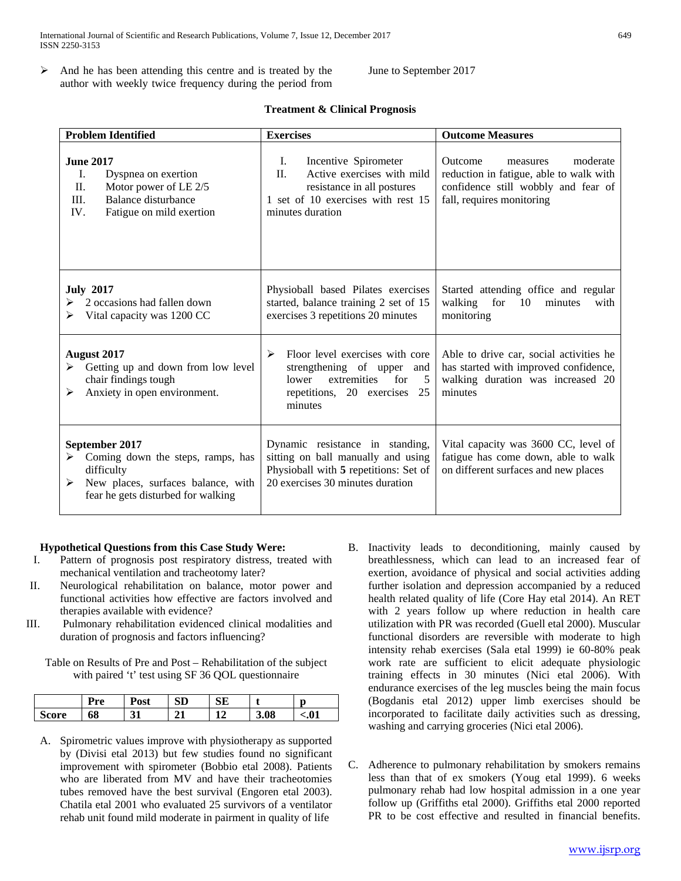$\triangleright$  And he has been attending this centre and is treated by the author with weekly twice frequency during the period from June to September 2017

| <b>Problem Identified</b>                                                                                                                               | <b>Exercises</b>                                                                                                                                            | <b>Outcome Measures</b>                                                                                                                               |  |
|---------------------------------------------------------------------------------------------------------------------------------------------------------|-------------------------------------------------------------------------------------------------------------------------------------------------------------|-------------------------------------------------------------------------------------------------------------------------------------------------------|--|
| <b>June 2017</b><br>I.<br>Dyspnea on exertion<br>Motor power of LE 2/5<br>П.<br>III.<br>Balance disturbance<br>IV.<br>Fatigue on mild exertion          | Incentive Spirometer<br>Ι.<br>$\Pi$ .<br>Active exercises with mild<br>resistance in all postures<br>1 set of 10 exercises with rest 15<br>minutes duration | moderate<br><b>Outcome</b><br>measures<br>reduction in fatigue, able to walk with<br>confidence still wobbly and fear of<br>fall, requires monitoring |  |
| <b>July 2017</b><br>2 occasions had fallen down<br>Vital capacity was 1200 CC<br>➤                                                                      | Physioball based Pilates exercises<br>started, balance training 2 set of 15<br>exercises 3 repetitions 20 minutes                                           | Started attending office and regular<br>walking<br>for<br>10<br>minutes<br>with<br>monitoring                                                         |  |
| <b>August 2017</b><br>Getting up and down from low level<br>chair findings tough<br>Anxiety in open environment.<br>➤                                   | Floor level exercises with core<br>➤<br>strengthening of upper and<br>for<br>extremities<br>lower<br>- 5<br>repetitions, 20 exercises 25<br>minutes         | Able to drive car, social activities he<br>has started with improved confidence,<br>walking duration was increased 20<br>minutes                      |  |
| September 2017<br>Coming down the steps, ramps, has<br>➤<br>difficulty<br>New places, surfaces balance, with<br>➤<br>fear he gets disturbed for walking | Dynamic resistance in standing,<br>sitting on ball manually and using<br>Physioball with 5 repetitions: Set of<br>20 exercises 30 minutes duration          | Vital capacity was 3600 CC, level of<br>fatigue has come down, able to walk<br>on different surfaces and new places                                   |  |

# **Treatment & Clinical Prognosis**

# **Hypothetical Questions from this Case Study Were:**

- I. Pattern of prognosis post respiratory distress, treated with mechanical ventilation and tracheotomy later?
- II. Neurological rehabilitation on balance, motor power and functional activities how effective are factors involved and therapies available with evidence?
- III. Pulmonary rehabilitation evidenced clinical modalities and duration of prognosis and factors influencing?

Table on Results of Pre and Post – Rehabilitation of the subject with paired 't' test using SF 36 QOL questionnaire

|            | Jmc. | 'ost | $\sim$<br>עט | $\sim$<br>ىرى |      | ŋ    |
|------------|------|------|--------------|---------------|------|------|
| COPA<br>0C | 0ð   |      |              | . .           | 3.08 | < 01 |

- A. Spirometric values improve with physiotherapy as supported by (Divisi etal 2013) but few studies found no significant improvement with spirometer (Bobbio etal 2008). Patients who are liberated from MV and have their tracheotomies tubes removed have the best survival (Engoren etal 2003). Chatila etal 2001 who evaluated 25 survivors of a ventilator rehab unit found mild moderate in pairment in quality of life
- B. Inactivity leads to deconditioning, mainly caused by breathlessness, which can lead to an increased fear of exertion, avoidance of physical and social activities adding further isolation and depression accompanied by a reduced health related quality of life (Core Hay etal 2014). An RET with 2 years follow up where reduction in health care utilization with PR was recorded (Guell etal 2000). Muscular functional disorders are reversible with moderate to high intensity rehab exercises (Sala etal 1999) ie 60-80% peak work rate are sufficient to elicit adequate physiologic training effects in 30 minutes (Nici etal 2006). With endurance exercises of the leg muscles being the main focus (Bogdanis etal 2012) upper limb exercises should be incorporated to facilitate daily activities such as dressing, washing and carrying groceries (Nici etal 2006).
- C. Adherence to pulmonary rehabilitation by smokers remains less than that of ex smokers (Youg etal 1999). 6 weeks pulmonary rehab had low hospital admission in a one year follow up (Griffiths etal 2000). Griffiths etal 2000 reported PR to be cost effective and resulted in financial benefits.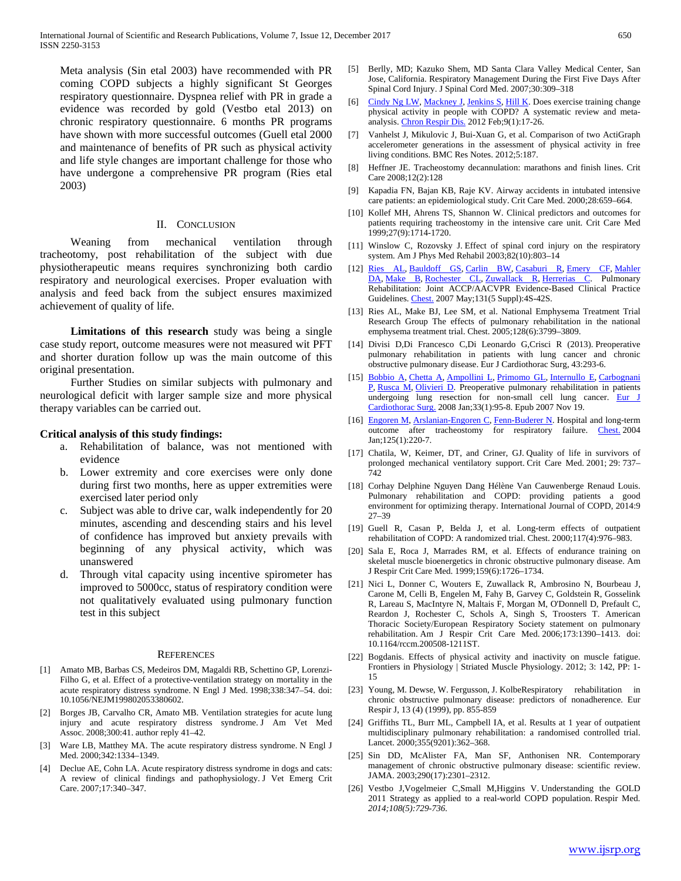Meta analysis (Sin etal 2003) have recommended with PR coming COPD subjects a highly significant St Georges respiratory questionnaire. Dyspnea relief with PR in grade a evidence was recorded by gold (Vestbo etal 2013) on chronic respiratory questionnaire. 6 months PR programs have shown with more successful outcomes (Guell etal 2000 and maintenance of benefits of PR such as physical activity and life style changes are important challenge for those who have undergone a comprehensive PR program (Ries etal 2003)

### II. CONCLUSION

 Weaning from mechanical ventilation through tracheotomy, post rehabilitation of the subject with due physiotherapeutic means requires synchronizing both cardio respiratory and neurological exercises. Proper evaluation with analysis and feed back from the subject ensures maximized achievement of quality of life.

 **Limitations of this research** study was being a single case study report, outcome measures were not measured wit PFT and shorter duration follow up was the main outcome of this original presentation.

 Further Studies on similar subjects with pulmonary and neurological deficit with larger sample size and more physical therapy variables can be carried out.

## **Critical analysis of this study findings:**

- a. Rehabilitation of balance, was not mentioned with evidence
- b. Lower extremity and core exercises were only done during first two months, here as upper extremities were exercised later period only
- c. Subject was able to drive car, walk independently for 20 minutes, ascending and descending stairs and his level of confidence has improved but anxiety prevails with beginning of any physical activity, which was unanswered
- d. Through vital capacity using incentive spirometer has improved to 5000cc, status of respiratory condition were not qualitatively evaluated using pulmonary function test in this subject

#### **REFERENCES**

- [1] Amato MB, Barbas CS, Medeiros DM, Magaldi RB, Schettino GP, Lorenzi-Filho G, et al. Effect of a protective-ventilation strategy on mortality in the acute respiratory distress syndrome. N Engl J Med. 1998;338:347–54. doi: 10.1056/NEJM199802053380602.
- [2] Borges JB, Carvalho CR, Amato MB. Ventilation strategies for acute lung injury and acute respiratory distress syndrome. J Am Vet Med Assoc. 2008;300:41. author reply 41–42.
- [3] Ware LB, Matthey MA. The acute respiratory distress syndrome. N Engl J Med. 2000;342:1334–1349.
- [4] Declue AE, Cohn LA. Acute respiratory distress syndrome in dogs and cats: A review of clinical findings and pathophysiology. J Vet Emerg Crit Care. 2007;17:340–347.
- [5] Berlly, MD; Kazuko Shem, MD Santa Clara Valley Medical Center, San Jose, California. Respiratory Management During the First Five Days After Spinal Cord Injury. J Spinal Cord Med. 2007;30:309–318
- [6] [Cindy Ng LW,](https://www.ncbi.nlm.nih.gov/pubmed/?term=Cindy%20Ng%20LW%5BAuthor%5D&cauthor=true&cauthor_uid=22194629) [Mackney J,](https://www.ncbi.nlm.nih.gov/pubmed/?term=Mackney%20J%5BAuthor%5D&cauthor=true&cauthor_uid=22194629) [Jenkins S,](https://www.ncbi.nlm.nih.gov/pubmed/?term=Jenkins%20S%5BAuthor%5D&cauthor=true&cauthor_uid=22194629) [Hill K.](https://www.ncbi.nlm.nih.gov/pubmed/?term=Hill%20K%5BAuthor%5D&cauthor=true&cauthor_uid=22194629) Does exercise training change physical activity in people with COPD? A systematic review and meta-analysis. [Chron Respir Dis.](https://www.ncbi.nlm.nih.gov/pubmed/22194629) 2012 Feb;9(1):17-26.
- [7] Vanhelst J, Mikulovic J, Bui-Xuan G, et al. Comparison of two ActiGraph accelerometer generations in the assessment of physical activity in free living conditions. BMC Res Notes. 2012;5:187.
- [8] Heffner JE. Tracheostomy decannulation: marathons and finish lines. Crit Care 2008;12(2):128
- [9] Kapadia FN, Bajan KB, Raje KV. Airway accidents in intubated intensive care patients: an epidemiological study. Crit Care Med. 2000;28:659–664.
- [10] Kollef MH, Ahrens TS, Shannon W. Clinical predictors and outcomes for patients requiring tracheostomy in the intensive care unit. Crit Care Med 1999;27(9):1714-1720.
- [11] Winslow C, Rozovsky J. Effect of spinal cord injury on the respiratory system. Am J Phys Med Rehabil 2003;82(10):803–14
- [12] [Ries AL,](https://www.ncbi.nlm.nih.gov/pubmed/?term=Ries%20AL%5BAuthor%5D&cauthor=true&cauthor_uid=17494825) [Bauldoff GS,](https://www.ncbi.nlm.nih.gov/pubmed/?term=Bauldoff%20GS%5BAuthor%5D&cauthor=true&cauthor_uid=17494825) [Carlin BW,](https://www.ncbi.nlm.nih.gov/pubmed/?term=Carlin%20BW%5BAuthor%5D&cauthor=true&cauthor_uid=17494825) [Casaburi R,](https://www.ncbi.nlm.nih.gov/pubmed/?term=Casaburi%20R%5BAuthor%5D&cauthor=true&cauthor_uid=17494825) [Emery CF,](https://www.ncbi.nlm.nih.gov/pubmed/?term=Emery%20CF%5BAuthor%5D&cauthor=true&cauthor_uid=17494825) [Mahler](https://www.ncbi.nlm.nih.gov/pubmed/?term=Mahler%20DA%5BAuthor%5D&cauthor=true&cauthor_uid=17494825)  [DA,](https://www.ncbi.nlm.nih.gov/pubmed/?term=Mahler%20DA%5BAuthor%5D&cauthor=true&cauthor_uid=17494825) [Make B,](https://www.ncbi.nlm.nih.gov/pubmed/?term=Make%20B%5BAuthor%5D&cauthor=true&cauthor_uid=17494825) [Rochester CL,](https://www.ncbi.nlm.nih.gov/pubmed/?term=Rochester%20CL%5BAuthor%5D&cauthor=true&cauthor_uid=17494825) [Zuwallack R,](https://www.ncbi.nlm.nih.gov/pubmed/?term=Zuwallack%20R%5BAuthor%5D&cauthor=true&cauthor_uid=17494825) [Herrerias C.](https://www.ncbi.nlm.nih.gov/pubmed/?term=Herrerias%20C%5BAuthor%5D&cauthor=true&cauthor_uid=17494825) Pulmonary Rehabilitation: Joint ACCP/AACVPR Evidence-Based Clinical Practice Guidelines. [Chest.](https://www.ncbi.nlm.nih.gov/pubmed/17494825) 2007 May;131(5 Suppl):4S-42S.
- [13] Ries AL, Make BJ, Lee SM, et al. National Emphysema Treatment Trial Research Group The effects of pulmonary rehabilitation in the national emphysema treatment trial. Chest. 2005;128(6):3799–3809.
- [14] Divisi D,Di Francesco C,Di Leonardo G,Crisci R (2013). Preoperative pulmonary rehabilitation in patients with lung cancer and chronic obstructive pulmonary disease. Eur J Cardiothorac Surg, 43:293-6.
- [15] [Bobbio A,](https://www.ncbi.nlm.nih.gov/pubmed/?term=Bobbio%20A%5BAuthor%5D&cauthor=true&cauthor_uid=18006327) [Chetta A,](https://www.ncbi.nlm.nih.gov/pubmed/?term=Chetta%20A%5BAuthor%5D&cauthor=true&cauthor_uid=18006327) [Ampollini L,](https://www.ncbi.nlm.nih.gov/pubmed/?term=Ampollini%20L%5BAuthor%5D&cauthor=true&cauthor_uid=18006327) [Primomo GL,](https://www.ncbi.nlm.nih.gov/pubmed/?term=Primomo%20GL%5BAuthor%5D&cauthor=true&cauthor_uid=18006327) [Internullo E,](https://www.ncbi.nlm.nih.gov/pubmed/?term=Internullo%20E%5BAuthor%5D&cauthor=true&cauthor_uid=18006327) [Carbognani](https://www.ncbi.nlm.nih.gov/pubmed/?term=Carbognani%20P%5BAuthor%5D&cauthor=true&cauthor_uid=18006327)  [P,](https://www.ncbi.nlm.nih.gov/pubmed/?term=Carbognani%20P%5BAuthor%5D&cauthor=true&cauthor_uid=18006327) [Rusca M,](https://www.ncbi.nlm.nih.gov/pubmed/?term=Rusca%20M%5BAuthor%5D&cauthor=true&cauthor_uid=18006327) [Olivieri D.](https://www.ncbi.nlm.nih.gov/pubmed/?term=Olivieri%20D%5BAuthor%5D&cauthor=true&cauthor_uid=18006327) Preoperative pulmonary rehabilitation in patients undergoing lung resection for non-small cell lung cancer. Eur J [Cardiothorac Surg.](https://www.ncbi.nlm.nih.gov/pubmed/18006327) 2008 Jan;33(1):95-8. Epub 2007 Nov 19.
- [16] [Engoren M,](https://www.ncbi.nlm.nih.gov/pubmed/?term=Engoren%20M%5BAuthor%5D&cauthor=true&cauthor_uid=14718444) [Arslanian-Engoren C,](https://www.ncbi.nlm.nih.gov/pubmed/?term=Arslanian-Engoren%20C%5BAuthor%5D&cauthor=true&cauthor_uid=14718444) [Fenn-Buderer N.](https://www.ncbi.nlm.nih.gov/pubmed/?term=Fenn-Buderer%20N%5BAuthor%5D&cauthor=true&cauthor_uid=14718444) Hospital and long-term outcome after tracheostomy for respiratory failure. [Chest.](https://www.ncbi.nlm.nih.gov/pubmed/14718444) 2004 Jan;125(1):220-7.
- [17] Chatila, W, Keimer, DT, and Criner, GJ. Quality of life in survivors of prolonged mechanical ventilatory support. Crit Care Med. 2001; 29: 737– 742
- [18] Corhay Delphine Nguyen Dang Hélène Van Cauwenberge Renaud Louis. Pulmonary rehabilitation and COPD: providing patients a good environment for optimizing therapy. International Journal of COPD, 2014:9 27–39
- [19] Guell R, Casan P, Belda J, et al. Long-term effects of outpatient rehabilitation of COPD: A randomized trial. Chest. 2000;117(4):976–983.
- [20] Sala E, Roca J, Marrades RM, et al. Effects of endurance training on skeletal muscle bioenergetics in chronic obstructive pulmonary disease. Am J Respir Crit Care Med. 1999;159(6):1726–1734.
- [21] Nici L, Donner C, Wouters E, Zuwallack R, Ambrosino N, Bourbeau J, Carone M, Celli B, Engelen M, Fahy B, Garvey C, Goldstein R, Gosselink R, Lareau S, MacIntyre N, Maltais F, Morgan M, O'Donnell D, Prefault C, Reardon J, Rochester C, Schols A, Singh S, Troosters T. American Thoracic Society/European Respiratory Society statement on pulmonary rehabilitation. Am J Respir Crit Care Med. 2006;173:1390–1413. doi: 10.1164/rccm.200508-1211ST.
- [22] Bogdanis. Effects of physical activity and inactivity on muscle fatigue. Frontiers in Physiology | Striated Muscle Physiology. 2012; 3: 142, PP: 1- 15
- [23] Young, M. Dewse, W. Fergusson, J. KolbeRespiratory rehabilitation in chronic obstructive pulmonary disease: predictors of nonadherence. Eur Respir J, 13 (4) (1999), pp. 855-859
- [24] Griffiths TL, Burr ML, Campbell IA, et al. Results at 1 year of outpatient multidisciplinary pulmonary rehabilitation: a randomised controlled trial. Lancet. 2000;355(9201):362–368.
- [25] Sin DD, McAlister FA, Man SF, Anthonisen NR. Contemporary management of chronic obstructive pulmonary disease: scientific review. JAMA. 2003;290(17):2301–2312.
- [26] Vestbo J,Vogelmeier C,Small M,Higgins V. Understanding the GOLD 2011 Strategy as applied to a real-world COPD population. Respir Med*. 2014;108(5):729-736.*